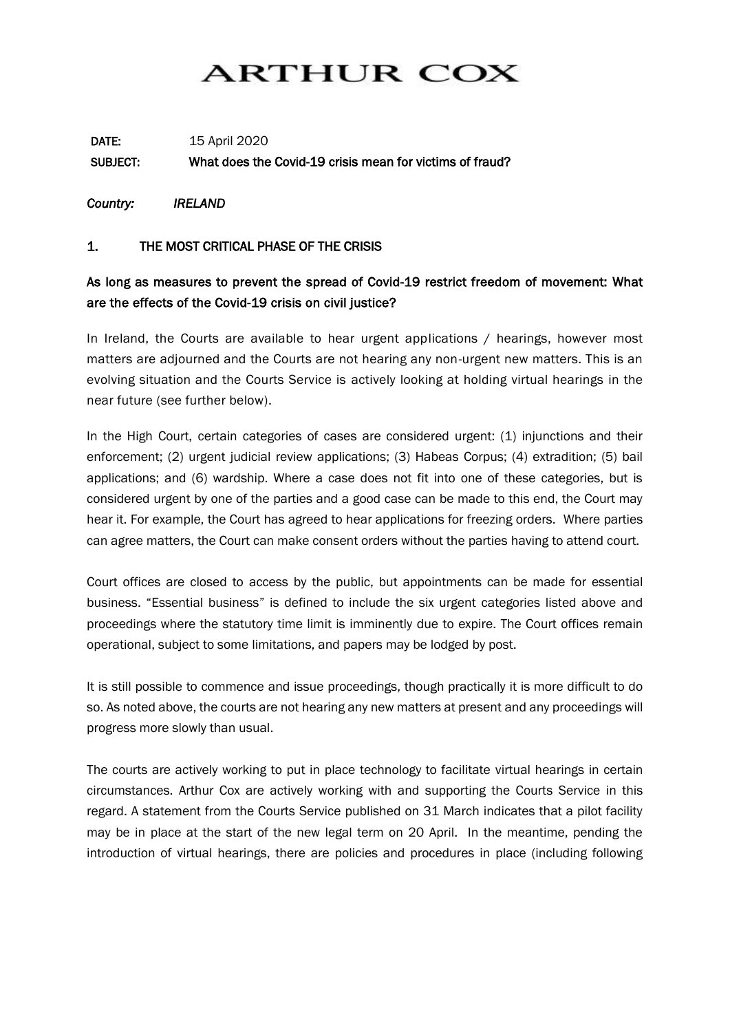# **ARTHUR COX**

## DATE: 15 April 2020 SUBJECT: What does the Covid-19 crisis mean for victims of fraud?

*Country: IRELAND* 

#### 1. THE MOST CRITICAL PHASE OF THE CRISIS

#### As long as measures to prevent the spread of Covid-19 restrict freedom of movement: What are the effects of the Covid-19 crisis on civil justice?

In Ireland, the Courts are available to hear urgent applications / hearings, however most matters are adjourned and the Courts are not hearing any non-urgent new matters. This is an evolving situation and the Courts Service is actively looking at holding virtual hearings in the near future (see further below).

In the High Court, certain categories of cases are considered urgent: (1) injunctions and their enforcement; (2) urgent judicial review applications; (3) Habeas Corpus; (4) extradition; (5) bail applications; and (6) wardship. Where a case does not fit into one of these categories, but is considered urgent by one of the parties and a good case can be made to this end, the Court may hear it. For example, the Court has agreed to hear applications for freezing orders. Where parties can agree matters, the Court can make consent orders without the parties having to attend court.

Court offices are closed to access by the public, but appointments can be made for essential business. "Essential business" is defined to include the six urgent categories listed above and proceedings where the statutory time limit is imminently due to expire. The Court offices remain operational, subject to some limitations, and papers may be lodged by post.

It is still possible to commence and issue proceedings, though practically it is more difficult to do so. As noted above, the courts are not hearing any new matters at present and any proceedings will progress more slowly than usual.

The courts are actively working to put in place technology to facilitate virtual hearings in certain circumstances. Arthur Cox are actively working with and supporting the Courts Service in this regard. A statement from the Courts Service published on 31 March indicates that a pilot facility may be in place at the start of the new legal term on 20 April. In the meantime, pending the introduction of virtual hearings, there are policies and procedures in place (including following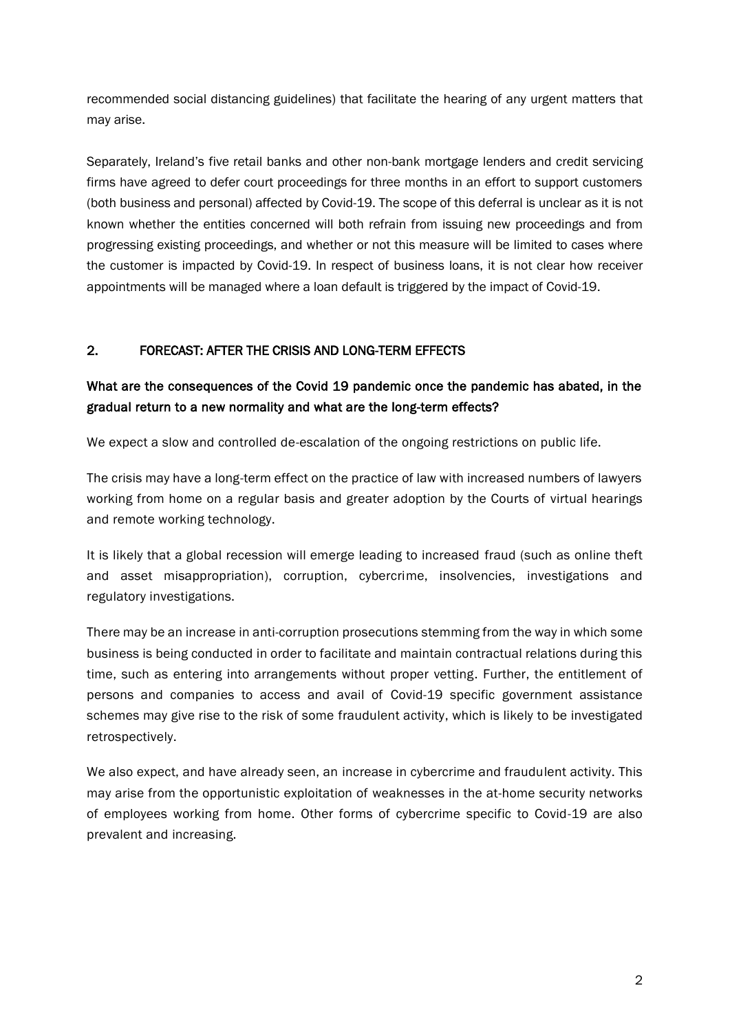recommended social distancing guidelines) that facilitate the hearing of any urgent matters that may arise.

Separately, Ireland's five retail banks and other non-bank mortgage lenders and credit servicing firms have agreed to defer court proceedings for three months in an effort to support customers (both business and personal) affected by Covid-19. The scope of this deferral is unclear as it is not known whether the entities concerned will both refrain from issuing new proceedings and from progressing existing proceedings, and whether or not this measure will be limited to cases where the customer is impacted by Covid-19. In respect of business loans, it is not clear how receiver appointments will be managed where a loan default is triggered by the impact of Covid-19.

#### 2. FORECAST: AFTER THE CRISIS AND LONG-TERM EFFECTS

### What are the consequences of the Covid 19 pandemic once the pandemic has abated, in the gradual return to a new normality and what are the long-term effects?

We expect a slow and controlled de-escalation of the ongoing restrictions on public life.

The crisis may have a long-term effect on the practice of law with increased numbers of lawyers working from home on a regular basis and greater adoption by the Courts of virtual hearings and remote working technology.

It is likely that a global recession will emerge leading to increased fraud (such as online theft and asset misappropriation), corruption, cybercrime, insolvencies, investigations and regulatory investigations.

There may be an increase in anti-corruption prosecutions stemming from the way in which some business is being conducted in order to facilitate and maintain contractual relations during this time, such as entering into arrangements without proper vetting. Further, the entitlement of persons and companies to access and avail of Covid-19 specific government assistance schemes may give rise to the risk of some fraudulent activity, which is likely to be investigated retrospectively.

We also expect, and have already seen, an increase in cybercrime and fraudulent activity. This may arise from the opportunistic exploitation of weaknesses in the at-home security networks of employees working from home. Other forms of cybercrime specific to Covid-19 are also prevalent and increasing.